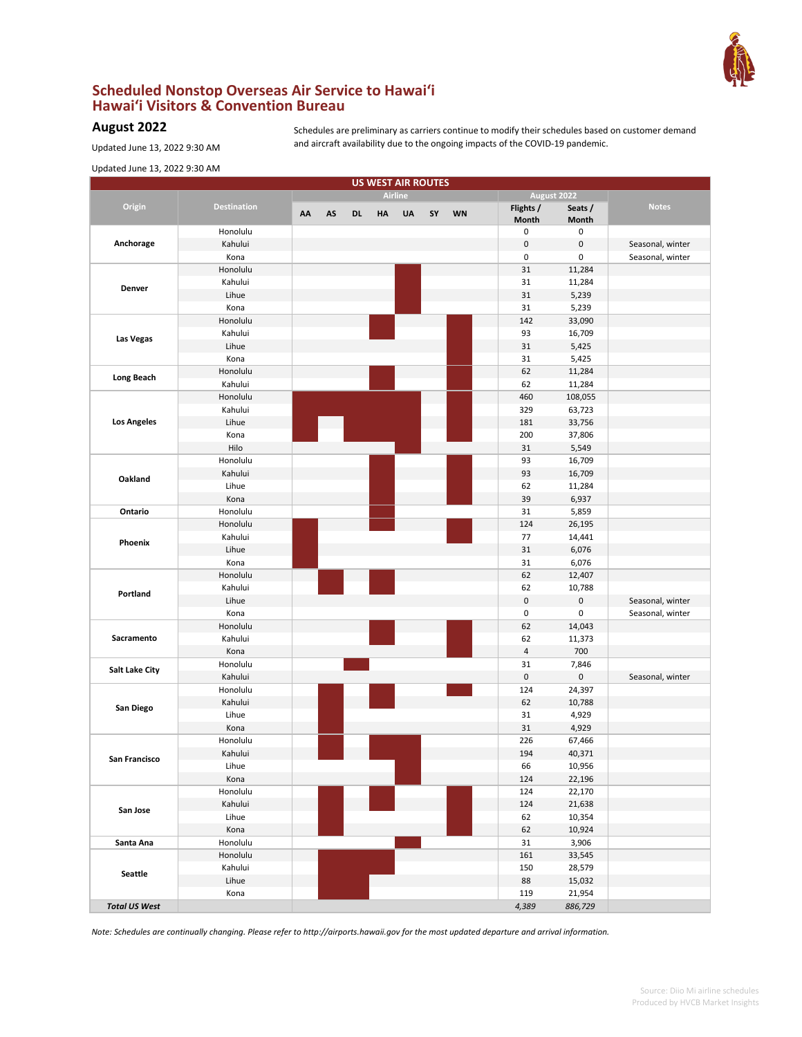

## **Scheduled Nonstop Overseas Air Service to Hawai'i Hawai'i Visitors & Convention Bureau**

## **August 2022**

Schedules are preliminary as carriers continue to modify their schedules based on customer demand and aircraft availability due to the ongoing impacts of the COVID-19 pandemic.

Updated June 13, 2022 9:30 AM

| <b>US WEST AIR ROUTES</b><br><b>Airline</b><br>August 2022<br>Origin<br><b>Destination</b><br>Flights /<br>Seats /<br><b>Notes</b><br>AA<br><b>WN</b><br>AS<br>DL<br>HA<br>UA<br>SY<br>Month<br>Month<br>Honolulu<br>0<br>0<br>Anchorage<br>$\pmb{0}$<br>$\pmb{0}$<br>Seasonal, winter<br>Kahului<br>Kona<br>0<br>0<br>Seasonal, winter<br>31<br>11,284<br>Honolulu<br>Kahului<br>31<br>11,284<br>Denver<br>31<br>Lihue<br>5,239<br>31<br>Kona<br>5,239<br>Honolulu<br>142<br>33,090<br>Kahului<br>93<br>16,709<br>Las Vegas<br>31<br>Lihue<br>5,425<br>Kona<br>31<br>5,425<br>62<br>Honolulu<br>11,284<br><b>Long Beach</b><br>Kahului<br>62<br>11,284<br>460<br>Honolulu<br>108,055<br>Kahului<br>329<br>63,723<br><b>Los Angeles</b><br>Lihue<br>181<br>33,756<br>Kona<br>200<br>37,806<br>Hilo<br>31<br>5,549<br>Honolulu<br>93<br>16,709<br>Kahului<br>93<br>16,709<br>Oakland<br>Lihue<br>62<br>11,284<br>39<br>Kona<br>6,937<br>Honolulu<br>31<br>Ontario<br>5,859<br>Honolulu<br>124<br>26,195<br>77<br>Kahului<br>14,441<br>Phoenix<br>Lihue<br>31<br>6,076<br>Kona<br>31<br>6,076<br>Honolulu<br>62<br>12,407<br>Kahului<br>62<br>10,788<br>Portland<br>$\pmb{0}$<br>0<br>Lihue<br>Seasonal, winter<br>0<br>0<br>Kona<br>Seasonal, winter<br>Honolulu<br>62<br>14,043<br>Sacramento<br>Kahului<br>62<br>11,373<br>$\sqrt{4}$<br>700<br>Kona<br>31<br>Honolulu<br>7,846<br><b>Salt Lake City</b><br>0<br>0<br>Kahului<br>Seasonal, winter<br>124<br>24,397<br>Honolulu<br>62<br>Kahului<br>10,788<br>San Diego<br>31<br>4,929<br>Lihue<br>31<br>Kona<br>4,929<br>226<br>67,466<br>Honolulu<br>Kahului<br>194<br>40,371<br>San Francisco<br>Lihue<br>66<br>10,956<br>Kona<br>124<br>22,196<br>Honolulu<br>124<br>22,170<br>Kahului<br>124<br>21,638<br>San Jose<br>Lihue<br>62<br>10,354<br>Kona<br>62<br>10,924<br>Honolulu<br>31<br>3,906<br>Santa Ana<br>Honolulu<br>161<br>33,545<br>Kahului<br>150<br>28,579<br>Seattle<br>Lihue<br>88<br>15,032<br>Kona<br>119<br>21,954<br><b>Total US West</b><br>4,389<br>886,729 | Updated June 13, 2022 9:30 AM |  |  |  |  |  |  |
|------------------------------------------------------------------------------------------------------------------------------------------------------------------------------------------------------------------------------------------------------------------------------------------------------------------------------------------------------------------------------------------------------------------------------------------------------------------------------------------------------------------------------------------------------------------------------------------------------------------------------------------------------------------------------------------------------------------------------------------------------------------------------------------------------------------------------------------------------------------------------------------------------------------------------------------------------------------------------------------------------------------------------------------------------------------------------------------------------------------------------------------------------------------------------------------------------------------------------------------------------------------------------------------------------------------------------------------------------------------------------------------------------------------------------------------------------------------------------------------------------------------------------------------------------------------------------------------------------------------------------------------------------------------------------------------------------------------------------------------------------------------------------------------------------------------------------------------------------------------------------------------------------------------------------------------------------------------------------------------------------------------------------------|-------------------------------|--|--|--|--|--|--|
|                                                                                                                                                                                                                                                                                                                                                                                                                                                                                                                                                                                                                                                                                                                                                                                                                                                                                                                                                                                                                                                                                                                                                                                                                                                                                                                                                                                                                                                                                                                                                                                                                                                                                                                                                                                                                                                                                                                                                                                                                                    |                               |  |  |  |  |  |  |
|                                                                                                                                                                                                                                                                                                                                                                                                                                                                                                                                                                                                                                                                                                                                                                                                                                                                                                                                                                                                                                                                                                                                                                                                                                                                                                                                                                                                                                                                                                                                                                                                                                                                                                                                                                                                                                                                                                                                                                                                                                    |                               |  |  |  |  |  |  |
|                                                                                                                                                                                                                                                                                                                                                                                                                                                                                                                                                                                                                                                                                                                                                                                                                                                                                                                                                                                                                                                                                                                                                                                                                                                                                                                                                                                                                                                                                                                                                                                                                                                                                                                                                                                                                                                                                                                                                                                                                                    |                               |  |  |  |  |  |  |
|                                                                                                                                                                                                                                                                                                                                                                                                                                                                                                                                                                                                                                                                                                                                                                                                                                                                                                                                                                                                                                                                                                                                                                                                                                                                                                                                                                                                                                                                                                                                                                                                                                                                                                                                                                                                                                                                                                                                                                                                                                    |                               |  |  |  |  |  |  |
|                                                                                                                                                                                                                                                                                                                                                                                                                                                                                                                                                                                                                                                                                                                                                                                                                                                                                                                                                                                                                                                                                                                                                                                                                                                                                                                                                                                                                                                                                                                                                                                                                                                                                                                                                                                                                                                                                                                                                                                                                                    |                               |  |  |  |  |  |  |
|                                                                                                                                                                                                                                                                                                                                                                                                                                                                                                                                                                                                                                                                                                                                                                                                                                                                                                                                                                                                                                                                                                                                                                                                                                                                                                                                                                                                                                                                                                                                                                                                                                                                                                                                                                                                                                                                                                                                                                                                                                    |                               |  |  |  |  |  |  |
|                                                                                                                                                                                                                                                                                                                                                                                                                                                                                                                                                                                                                                                                                                                                                                                                                                                                                                                                                                                                                                                                                                                                                                                                                                                                                                                                                                                                                                                                                                                                                                                                                                                                                                                                                                                                                                                                                                                                                                                                                                    |                               |  |  |  |  |  |  |
|                                                                                                                                                                                                                                                                                                                                                                                                                                                                                                                                                                                                                                                                                                                                                                                                                                                                                                                                                                                                                                                                                                                                                                                                                                                                                                                                                                                                                                                                                                                                                                                                                                                                                                                                                                                                                                                                                                                                                                                                                                    |                               |  |  |  |  |  |  |
|                                                                                                                                                                                                                                                                                                                                                                                                                                                                                                                                                                                                                                                                                                                                                                                                                                                                                                                                                                                                                                                                                                                                                                                                                                                                                                                                                                                                                                                                                                                                                                                                                                                                                                                                                                                                                                                                                                                                                                                                                                    |                               |  |  |  |  |  |  |
|                                                                                                                                                                                                                                                                                                                                                                                                                                                                                                                                                                                                                                                                                                                                                                                                                                                                                                                                                                                                                                                                                                                                                                                                                                                                                                                                                                                                                                                                                                                                                                                                                                                                                                                                                                                                                                                                                                                                                                                                                                    |                               |  |  |  |  |  |  |
|                                                                                                                                                                                                                                                                                                                                                                                                                                                                                                                                                                                                                                                                                                                                                                                                                                                                                                                                                                                                                                                                                                                                                                                                                                                                                                                                                                                                                                                                                                                                                                                                                                                                                                                                                                                                                                                                                                                                                                                                                                    |                               |  |  |  |  |  |  |
|                                                                                                                                                                                                                                                                                                                                                                                                                                                                                                                                                                                                                                                                                                                                                                                                                                                                                                                                                                                                                                                                                                                                                                                                                                                                                                                                                                                                                                                                                                                                                                                                                                                                                                                                                                                                                                                                                                                                                                                                                                    |                               |  |  |  |  |  |  |
|                                                                                                                                                                                                                                                                                                                                                                                                                                                                                                                                                                                                                                                                                                                                                                                                                                                                                                                                                                                                                                                                                                                                                                                                                                                                                                                                                                                                                                                                                                                                                                                                                                                                                                                                                                                                                                                                                                                                                                                                                                    |                               |  |  |  |  |  |  |
|                                                                                                                                                                                                                                                                                                                                                                                                                                                                                                                                                                                                                                                                                                                                                                                                                                                                                                                                                                                                                                                                                                                                                                                                                                                                                                                                                                                                                                                                                                                                                                                                                                                                                                                                                                                                                                                                                                                                                                                                                                    |                               |  |  |  |  |  |  |
|                                                                                                                                                                                                                                                                                                                                                                                                                                                                                                                                                                                                                                                                                                                                                                                                                                                                                                                                                                                                                                                                                                                                                                                                                                                                                                                                                                                                                                                                                                                                                                                                                                                                                                                                                                                                                                                                                                                                                                                                                                    |                               |  |  |  |  |  |  |
|                                                                                                                                                                                                                                                                                                                                                                                                                                                                                                                                                                                                                                                                                                                                                                                                                                                                                                                                                                                                                                                                                                                                                                                                                                                                                                                                                                                                                                                                                                                                                                                                                                                                                                                                                                                                                                                                                                                                                                                                                                    |                               |  |  |  |  |  |  |
|                                                                                                                                                                                                                                                                                                                                                                                                                                                                                                                                                                                                                                                                                                                                                                                                                                                                                                                                                                                                                                                                                                                                                                                                                                                                                                                                                                                                                                                                                                                                                                                                                                                                                                                                                                                                                                                                                                                                                                                                                                    |                               |  |  |  |  |  |  |
|                                                                                                                                                                                                                                                                                                                                                                                                                                                                                                                                                                                                                                                                                                                                                                                                                                                                                                                                                                                                                                                                                                                                                                                                                                                                                                                                                                                                                                                                                                                                                                                                                                                                                                                                                                                                                                                                                                                                                                                                                                    |                               |  |  |  |  |  |  |
|                                                                                                                                                                                                                                                                                                                                                                                                                                                                                                                                                                                                                                                                                                                                                                                                                                                                                                                                                                                                                                                                                                                                                                                                                                                                                                                                                                                                                                                                                                                                                                                                                                                                                                                                                                                                                                                                                                                                                                                                                                    |                               |  |  |  |  |  |  |
|                                                                                                                                                                                                                                                                                                                                                                                                                                                                                                                                                                                                                                                                                                                                                                                                                                                                                                                                                                                                                                                                                                                                                                                                                                                                                                                                                                                                                                                                                                                                                                                                                                                                                                                                                                                                                                                                                                                                                                                                                                    |                               |  |  |  |  |  |  |
|                                                                                                                                                                                                                                                                                                                                                                                                                                                                                                                                                                                                                                                                                                                                                                                                                                                                                                                                                                                                                                                                                                                                                                                                                                                                                                                                                                                                                                                                                                                                                                                                                                                                                                                                                                                                                                                                                                                                                                                                                                    |                               |  |  |  |  |  |  |
|                                                                                                                                                                                                                                                                                                                                                                                                                                                                                                                                                                                                                                                                                                                                                                                                                                                                                                                                                                                                                                                                                                                                                                                                                                                                                                                                                                                                                                                                                                                                                                                                                                                                                                                                                                                                                                                                                                                                                                                                                                    |                               |  |  |  |  |  |  |
|                                                                                                                                                                                                                                                                                                                                                                                                                                                                                                                                                                                                                                                                                                                                                                                                                                                                                                                                                                                                                                                                                                                                                                                                                                                                                                                                                                                                                                                                                                                                                                                                                                                                                                                                                                                                                                                                                                                                                                                                                                    |                               |  |  |  |  |  |  |
|                                                                                                                                                                                                                                                                                                                                                                                                                                                                                                                                                                                                                                                                                                                                                                                                                                                                                                                                                                                                                                                                                                                                                                                                                                                                                                                                                                                                                                                                                                                                                                                                                                                                                                                                                                                                                                                                                                                                                                                                                                    |                               |  |  |  |  |  |  |
|                                                                                                                                                                                                                                                                                                                                                                                                                                                                                                                                                                                                                                                                                                                                                                                                                                                                                                                                                                                                                                                                                                                                                                                                                                                                                                                                                                                                                                                                                                                                                                                                                                                                                                                                                                                                                                                                                                                                                                                                                                    |                               |  |  |  |  |  |  |
|                                                                                                                                                                                                                                                                                                                                                                                                                                                                                                                                                                                                                                                                                                                                                                                                                                                                                                                                                                                                                                                                                                                                                                                                                                                                                                                                                                                                                                                                                                                                                                                                                                                                                                                                                                                                                                                                                                                                                                                                                                    |                               |  |  |  |  |  |  |
|                                                                                                                                                                                                                                                                                                                                                                                                                                                                                                                                                                                                                                                                                                                                                                                                                                                                                                                                                                                                                                                                                                                                                                                                                                                                                                                                                                                                                                                                                                                                                                                                                                                                                                                                                                                                                                                                                                                                                                                                                                    |                               |  |  |  |  |  |  |
|                                                                                                                                                                                                                                                                                                                                                                                                                                                                                                                                                                                                                                                                                                                                                                                                                                                                                                                                                                                                                                                                                                                                                                                                                                                                                                                                                                                                                                                                                                                                                                                                                                                                                                                                                                                                                                                                                                                                                                                                                                    |                               |  |  |  |  |  |  |
|                                                                                                                                                                                                                                                                                                                                                                                                                                                                                                                                                                                                                                                                                                                                                                                                                                                                                                                                                                                                                                                                                                                                                                                                                                                                                                                                                                                                                                                                                                                                                                                                                                                                                                                                                                                                                                                                                                                                                                                                                                    |                               |  |  |  |  |  |  |
|                                                                                                                                                                                                                                                                                                                                                                                                                                                                                                                                                                                                                                                                                                                                                                                                                                                                                                                                                                                                                                                                                                                                                                                                                                                                                                                                                                                                                                                                                                                                                                                                                                                                                                                                                                                                                                                                                                                                                                                                                                    |                               |  |  |  |  |  |  |
|                                                                                                                                                                                                                                                                                                                                                                                                                                                                                                                                                                                                                                                                                                                                                                                                                                                                                                                                                                                                                                                                                                                                                                                                                                                                                                                                                                                                                                                                                                                                                                                                                                                                                                                                                                                                                                                                                                                                                                                                                                    |                               |  |  |  |  |  |  |
|                                                                                                                                                                                                                                                                                                                                                                                                                                                                                                                                                                                                                                                                                                                                                                                                                                                                                                                                                                                                                                                                                                                                                                                                                                                                                                                                                                                                                                                                                                                                                                                                                                                                                                                                                                                                                                                                                                                                                                                                                                    |                               |  |  |  |  |  |  |
|                                                                                                                                                                                                                                                                                                                                                                                                                                                                                                                                                                                                                                                                                                                                                                                                                                                                                                                                                                                                                                                                                                                                                                                                                                                                                                                                                                                                                                                                                                                                                                                                                                                                                                                                                                                                                                                                                                                                                                                                                                    |                               |  |  |  |  |  |  |
|                                                                                                                                                                                                                                                                                                                                                                                                                                                                                                                                                                                                                                                                                                                                                                                                                                                                                                                                                                                                                                                                                                                                                                                                                                                                                                                                                                                                                                                                                                                                                                                                                                                                                                                                                                                                                                                                                                                                                                                                                                    |                               |  |  |  |  |  |  |
|                                                                                                                                                                                                                                                                                                                                                                                                                                                                                                                                                                                                                                                                                                                                                                                                                                                                                                                                                                                                                                                                                                                                                                                                                                                                                                                                                                                                                                                                                                                                                                                                                                                                                                                                                                                                                                                                                                                                                                                                                                    |                               |  |  |  |  |  |  |
|                                                                                                                                                                                                                                                                                                                                                                                                                                                                                                                                                                                                                                                                                                                                                                                                                                                                                                                                                                                                                                                                                                                                                                                                                                                                                                                                                                                                                                                                                                                                                                                                                                                                                                                                                                                                                                                                                                                                                                                                                                    |                               |  |  |  |  |  |  |
|                                                                                                                                                                                                                                                                                                                                                                                                                                                                                                                                                                                                                                                                                                                                                                                                                                                                                                                                                                                                                                                                                                                                                                                                                                                                                                                                                                                                                                                                                                                                                                                                                                                                                                                                                                                                                                                                                                                                                                                                                                    |                               |  |  |  |  |  |  |
|                                                                                                                                                                                                                                                                                                                                                                                                                                                                                                                                                                                                                                                                                                                                                                                                                                                                                                                                                                                                                                                                                                                                                                                                                                                                                                                                                                                                                                                                                                                                                                                                                                                                                                                                                                                                                                                                                                                                                                                                                                    |                               |  |  |  |  |  |  |
|                                                                                                                                                                                                                                                                                                                                                                                                                                                                                                                                                                                                                                                                                                                                                                                                                                                                                                                                                                                                                                                                                                                                                                                                                                                                                                                                                                                                                                                                                                                                                                                                                                                                                                                                                                                                                                                                                                                                                                                                                                    |                               |  |  |  |  |  |  |
|                                                                                                                                                                                                                                                                                                                                                                                                                                                                                                                                                                                                                                                                                                                                                                                                                                                                                                                                                                                                                                                                                                                                                                                                                                                                                                                                                                                                                                                                                                                                                                                                                                                                                                                                                                                                                                                                                                                                                                                                                                    |                               |  |  |  |  |  |  |
|                                                                                                                                                                                                                                                                                                                                                                                                                                                                                                                                                                                                                                                                                                                                                                                                                                                                                                                                                                                                                                                                                                                                                                                                                                                                                                                                                                                                                                                                                                                                                                                                                                                                                                                                                                                                                                                                                                                                                                                                                                    |                               |  |  |  |  |  |  |
|                                                                                                                                                                                                                                                                                                                                                                                                                                                                                                                                                                                                                                                                                                                                                                                                                                                                                                                                                                                                                                                                                                                                                                                                                                                                                                                                                                                                                                                                                                                                                                                                                                                                                                                                                                                                                                                                                                                                                                                                                                    |                               |  |  |  |  |  |  |
|                                                                                                                                                                                                                                                                                                                                                                                                                                                                                                                                                                                                                                                                                                                                                                                                                                                                                                                                                                                                                                                                                                                                                                                                                                                                                                                                                                                                                                                                                                                                                                                                                                                                                                                                                                                                                                                                                                                                                                                                                                    |                               |  |  |  |  |  |  |
|                                                                                                                                                                                                                                                                                                                                                                                                                                                                                                                                                                                                                                                                                                                                                                                                                                                                                                                                                                                                                                                                                                                                                                                                                                                                                                                                                                                                                                                                                                                                                                                                                                                                                                                                                                                                                                                                                                                                                                                                                                    |                               |  |  |  |  |  |  |
|                                                                                                                                                                                                                                                                                                                                                                                                                                                                                                                                                                                                                                                                                                                                                                                                                                                                                                                                                                                                                                                                                                                                                                                                                                                                                                                                                                                                                                                                                                                                                                                                                                                                                                                                                                                                                                                                                                                                                                                                                                    |                               |  |  |  |  |  |  |
|                                                                                                                                                                                                                                                                                                                                                                                                                                                                                                                                                                                                                                                                                                                                                                                                                                                                                                                                                                                                                                                                                                                                                                                                                                                                                                                                                                                                                                                                                                                                                                                                                                                                                                                                                                                                                                                                                                                                                                                                                                    |                               |  |  |  |  |  |  |
|                                                                                                                                                                                                                                                                                                                                                                                                                                                                                                                                                                                                                                                                                                                                                                                                                                                                                                                                                                                                                                                                                                                                                                                                                                                                                                                                                                                                                                                                                                                                                                                                                                                                                                                                                                                                                                                                                                                                                                                                                                    |                               |  |  |  |  |  |  |
|                                                                                                                                                                                                                                                                                                                                                                                                                                                                                                                                                                                                                                                                                                                                                                                                                                                                                                                                                                                                                                                                                                                                                                                                                                                                                                                                                                                                                                                                                                                                                                                                                                                                                                                                                                                                                                                                                                                                                                                                                                    |                               |  |  |  |  |  |  |
|                                                                                                                                                                                                                                                                                                                                                                                                                                                                                                                                                                                                                                                                                                                                                                                                                                                                                                                                                                                                                                                                                                                                                                                                                                                                                                                                                                                                                                                                                                                                                                                                                                                                                                                                                                                                                                                                                                                                                                                                                                    |                               |  |  |  |  |  |  |
|                                                                                                                                                                                                                                                                                                                                                                                                                                                                                                                                                                                                                                                                                                                                                                                                                                                                                                                                                                                                                                                                                                                                                                                                                                                                                                                                                                                                                                                                                                                                                                                                                                                                                                                                                                                                                                                                                                                                                                                                                                    |                               |  |  |  |  |  |  |
|                                                                                                                                                                                                                                                                                                                                                                                                                                                                                                                                                                                                                                                                                                                                                                                                                                                                                                                                                                                                                                                                                                                                                                                                                                                                                                                                                                                                                                                                                                                                                                                                                                                                                                                                                                                                                                                                                                                                                                                                                                    |                               |  |  |  |  |  |  |
|                                                                                                                                                                                                                                                                                                                                                                                                                                                                                                                                                                                                                                                                                                                                                                                                                                                                                                                                                                                                                                                                                                                                                                                                                                                                                                                                                                                                                                                                                                                                                                                                                                                                                                                                                                                                                                                                                                                                                                                                                                    |                               |  |  |  |  |  |  |
|                                                                                                                                                                                                                                                                                                                                                                                                                                                                                                                                                                                                                                                                                                                                                                                                                                                                                                                                                                                                                                                                                                                                                                                                                                                                                                                                                                                                                                                                                                                                                                                                                                                                                                                                                                                                                                                                                                                                                                                                                                    |                               |  |  |  |  |  |  |
|                                                                                                                                                                                                                                                                                                                                                                                                                                                                                                                                                                                                                                                                                                                                                                                                                                                                                                                                                                                                                                                                                                                                                                                                                                                                                                                                                                                                                                                                                                                                                                                                                                                                                                                                                                                                                                                                                                                                                                                                                                    |                               |  |  |  |  |  |  |
|                                                                                                                                                                                                                                                                                                                                                                                                                                                                                                                                                                                                                                                                                                                                                                                                                                                                                                                                                                                                                                                                                                                                                                                                                                                                                                                                                                                                                                                                                                                                                                                                                                                                                                                                                                                                                                                                                                                                                                                                                                    |                               |  |  |  |  |  |  |
|                                                                                                                                                                                                                                                                                                                                                                                                                                                                                                                                                                                                                                                                                                                                                                                                                                                                                                                                                                                                                                                                                                                                                                                                                                                                                                                                                                                                                                                                                                                                                                                                                                                                                                                                                                                                                                                                                                                                                                                                                                    |                               |  |  |  |  |  |  |

*Note: Schedules are continually changing. Please refer to http://airports.hawaii.gov for the most updated departure and arrival information.*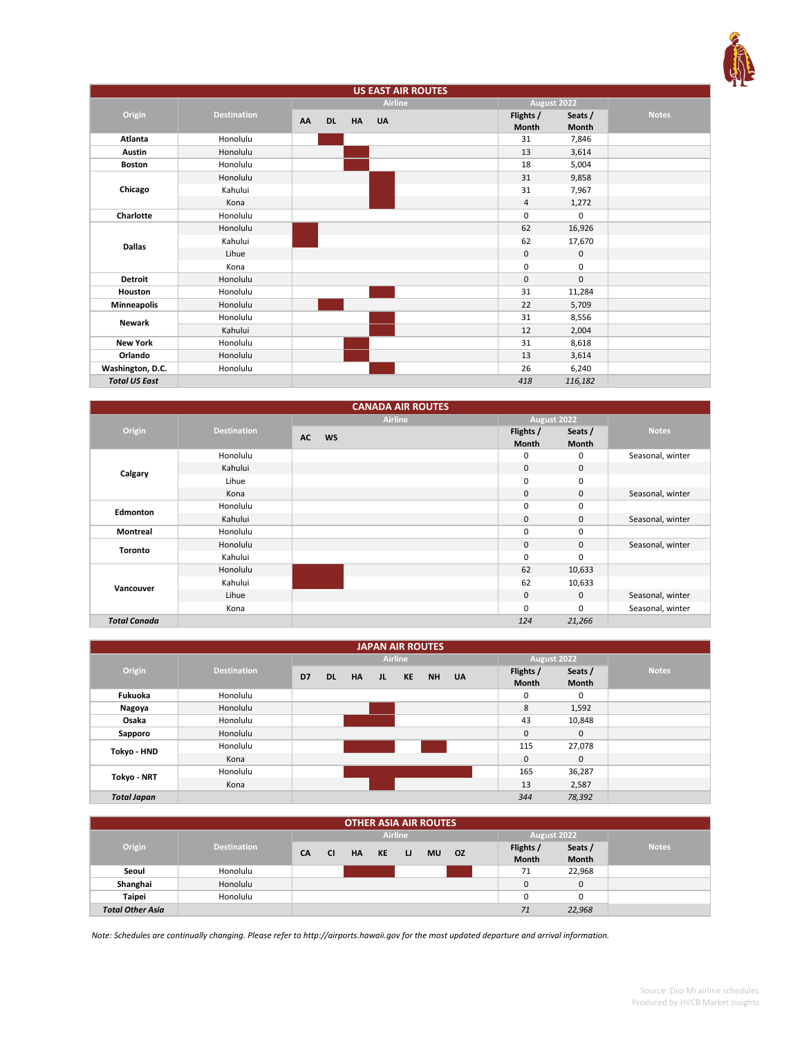

| <b>US EAST AIR ROUTES</b> |                    |                 |           |                |  |                    |                  |              |
|---------------------------|--------------------|-----------------|-----------|----------------|--|--------------------|------------------|--------------|
|                           |                    |                 |           | <b>Airline</b> |  | August 2022        |                  |              |
| Origin                    | <b>Destination</b> | AA<br><b>DL</b> | <b>HA</b> | <b>UA</b>      |  | Flights /<br>Month | Seats /<br>Month | <b>Notes</b> |
| Atlanta                   | Honolulu           |                 |           |                |  | 31                 | 7,846            |              |
| <b>Austin</b>             | Honolulu           |                 |           |                |  | 13                 | 3,614            |              |
| <b>Boston</b>             | Honolulu           |                 |           |                |  | 18                 | 5,004            |              |
|                           | Honolulu           |                 |           |                |  | 31                 | 9,858            |              |
| Chicago                   | Kahului            |                 |           |                |  | 31                 | 7,967            |              |
|                           | Kona               |                 |           |                |  | 4                  | 1,272            |              |
| Charlotte                 | Honolulu           |                 |           |                |  | $\mathbf 0$        | 0                |              |
|                           | Honolulu           |                 |           |                |  | 62                 | 16,926           |              |
| <b>Dallas</b>             | Kahului            |                 |           |                |  | 62                 | 17,670           |              |
|                           | Lihue              |                 |           |                |  | $\mathsf 0$        | 0                |              |
|                           | Kona               |                 |           |                |  | $\mathbf 0$        | 0                |              |
| <b>Detroit</b>            | Honolulu           |                 |           |                |  | $\mathbf{0}$       | $\mathbf 0$      |              |
| Houston                   | Honolulu           |                 |           |                |  | 31                 | 11,284           |              |
| <b>Minneapolis</b>        | Honolulu           |                 |           |                |  | 22                 | 5,709            |              |
| <b>Newark</b>             | Honolulu           |                 |           |                |  | 31                 | 8,556            |              |
|                           | Kahului            |                 |           |                |  | 12                 | 2,004            |              |
| <b>New York</b>           | Honolulu           |                 |           |                |  | 31                 | 8,618            |              |
| Orlando                   | Honolulu           |                 |           |                |  | 13                 | 3,614            |              |
| Washington, D.C.          | Honolulu           |                 |           |                |  | 26                 | 6,240            |              |
| <b>Total US East</b>      |                    |                 |           |                |  | 418                | 116,182          |              |

|                     |                    | <b>CANADA AIR ROUTES</b> |                           |                         |                  |
|---------------------|--------------------|--------------------------|---------------------------|-------------------------|------------------|
|                     |                    | <b>Airline</b>           | August 2022               |                         |                  |
| Origin              | <b>Destination</b> | <b>AC</b><br><b>WS</b>   | Flights /<br><b>Month</b> | Seats /<br><b>Month</b> | <b>Notes</b>     |
|                     | Honolulu           |                          | 0                         | 0                       | Seasonal, winter |
| Calgary             | Kahului            |                          | $\mathbf{0}$              | $\mathbf{0}$            |                  |
|                     | Lihue              |                          | $\mathbf 0$               | 0                       |                  |
|                     | Kona               |                          | $\mathbf 0$               | 0                       | Seasonal, winter |
| Edmonton            | Honolulu           |                          | 0                         | 0                       |                  |
|                     | Kahului            |                          | $\mathbf 0$               | $\mathbf{0}$            | Seasonal, winter |
| <b>Montreal</b>     | Honolulu           |                          | 0                         | 0                       |                  |
| <b>Toronto</b>      | Honolulu           |                          | $\mathbf{0}$              | $\mathbf 0$             | Seasonal, winter |
|                     | Kahului            |                          | $\mathbf 0$               | 0                       |                  |
|                     | Honolulu           |                          | 62                        | 10,633                  |                  |
| Vancouver           | Kahului            |                          | 62                        | 10,633                  |                  |
|                     | Lihue              |                          | $\mathbf 0$               | $\mathbf{0}$            | Seasonal, winter |
|                     | Kona               |                          | 0                         | 0                       | Seasonal, winter |
| <b>Total Canada</b> |                    |                          | 124                       | 21,266                  |                  |

| <b>JAPAN AIR ROUTES</b> |                    |    |           |           |     |                |       |  |              |              |              |
|-------------------------|--------------------|----|-----------|-----------|-----|----------------|-------|--|--------------|--------------|--------------|
|                         |                    |    |           |           |     | <b>Airline</b> |       |  | August 2022  |              |              |
| Origin                  | <b>Destination</b> | D7 | <b>DL</b> | <b>HA</b> | JL. | KE             | NH UA |  | Flights /    | Seats /      | <b>Notes</b> |
|                         |                    |    |           |           |     |                |       |  | <b>Month</b> | <b>Month</b> |              |
| Fukuoka                 | Honolulu           |    |           |           |     |                |       |  | 0            | 0            |              |
| Nagoya                  | Honolulu           |    |           |           |     |                |       |  | 8            | 1,592        |              |
| Osaka                   | Honolulu           |    |           |           |     |                |       |  | 43           | 10,848       |              |
| Sapporo                 | Honolulu           |    |           |           |     |                |       |  | $\mathbf{0}$ | $\mathbf 0$  |              |
| Tokyo - HND             | Honolulu           |    |           |           |     |                |       |  | 115          | 27,078       |              |
|                         | Kona               |    |           |           |     |                |       |  | $\mathbf 0$  | $\mathbf{0}$ |              |
| Tokyo - NRT             | Honolulu           |    |           |           |     |                |       |  | 165          | 36,287       |              |
|                         | Kona               |    |           |           |     |                |       |  | 13           | 2,587        |              |
| <b>Total Japan</b>      |                    |    |           |           |     |                |       |  | 344          | 78,392       |              |

| <b>OTHER ASIA AIR ROUTES</b> |                    |           |           |           |    |                |           |     |             |                    |                         |              |
|------------------------------|--------------------|-----------|-----------|-----------|----|----------------|-----------|-----|-------------|--------------------|-------------------------|--------------|
|                              |                    |           |           |           |    | <b>Airline</b> |           |     | August 2022 |                    |                         |              |
| Origin                       | <b>Destination</b> | <b>CA</b> | <b>CI</b> | <b>HA</b> | KE | <b>U</b>       | <b>MU</b> | OZ. |             | Flights /<br>Month | Seats /<br><b>Month</b> | <b>Notes</b> |
| Seoul                        | Honolulu           |           |           |           |    |                |           |     |             | 71                 | 22,968                  |              |
| Shanghai                     | Honolulu           |           |           |           |    |                |           |     |             |                    | 0                       |              |
| <b>Taipei</b>                | Honolulu           |           |           |           |    |                |           |     |             |                    | 0                       |              |
| <b>Total Other Asia</b>      |                    |           |           |           |    |                |           |     |             | 71                 | 22,968                  |              |

*Note: Schedules are continually changing. Please refer to http://airports.hawaii.gov for the most updated departure and arrival information.*